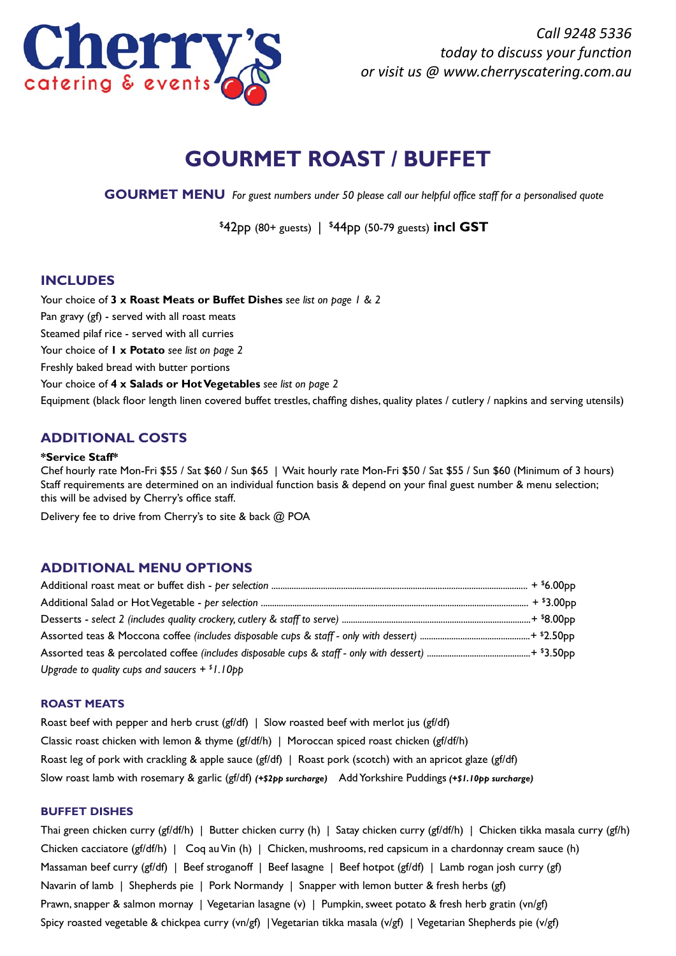

*Call 9248 5336 today to discuss your function or visit us @ www.cherryscatering.com.au*

# **GOURMET ROAST / BUFFET**

**GOURMET MENU** *For guest numbers under 50 please call our helpful office staff for a personalised quote*

\$ 42pp (80+ guests) | \$ 44pp (50-79 guests) **incl GST**

## **INCLUDES**

Your choice of **3 x Roast Meats or Buffet Dishes** *see list on page 1 & 2* Pan gravy (gf) - served with all roast meats Steamed pilaf rice - served with all curries Your choice of **1 x Potato** *see list on page 2* Freshly baked bread with butter portions Your choice of **4 x Salads or Hot Vegetables** *see list on page 2* Equipment (black floor length linen covered buffet trestles, chaffing dishes, quality plates / cutlery / napkins and serving utensils)

# **ADDITIONAL COSTS**

### **\*Service Staff\***

Chef hourly rate Mon-Fri \$55 / Sat \$60 / Sun \$65 | Wait hourly rate Mon-Fri \$50 / Sat \$55 / Sun \$60 (Minimum of 3 hours) Staff requirements are determined on an individual function basis & depend on your final guest number & menu selection; this will be advised by Cherry's office staff.

Delivery fee to drive from Cherry's to site & back @ POA

## **ADDITIONAL MENU OPTIONS**

| Upgrade to quality cups and saucers $+$ $*$ l.10pp |  |
|----------------------------------------------------|--|

## **ROAST MEATS**

Roast beef with pepper and herb crust (gf/df) | Slow roasted beef with merlot jus (gf/df) Classic roast chicken with lemon & thyme (gf/df/h) | Moroccan spiced roast chicken (gf/df/h) Roast leg of pork with crackling & apple sauce (gf/df) | Roast pork (scotch) with an apricot glaze (gf/df) Slow roast lamb with rosemary & garlic (gf/df) *(+\$2pp surcharge)* Add Yorkshire Puddings *(+\$1.10pp surcharge)*

### **BUFFET DISHES**

Thai green chicken curry (gf/df/h) | Butter chicken curry (h) | Satay chicken curry (gf/df/h) | Chicken tikka masala curry (gf/h) Chicken cacciatore (gf/df/h) | Coq au Vin (h) | Chicken, mushrooms, red capsicum in a chardonnay cream sauce (h) Massaman beef curry (gf/df) | Beef stroganoff | Beef lasagne | Beef hotpot (gf/df) | Lamb rogan josh curry (gf) Navarin of lamb | Shepherds pie | Pork Normandy | Snapper with lemon butter & fresh herbs (gf) Prawn, snapper & salmon mornay | Vegetarian lasagne (v) | Pumpkin, sweet potato & fresh herb gratin (vn/gf) Spicy roasted vegetable & chickpea curry (vn/gf) | Vegetarian tikka masala (v/gf) | Vegetarian Shepherds pie (v/gf)